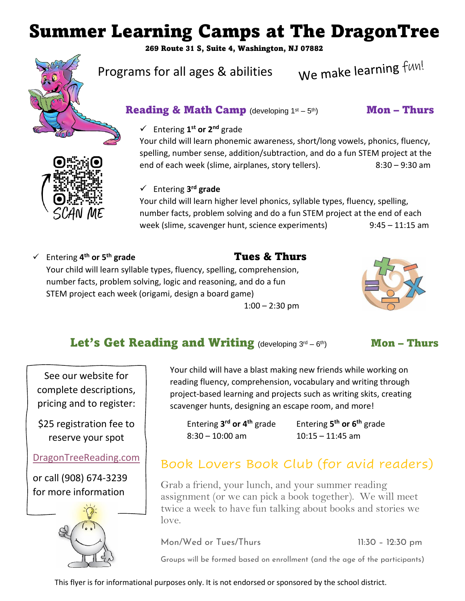# Summer Learning Camps at The DragonTree

269 Route 31 S, Suite 4, Washington, NJ 07882



Programs for all ages & abilities

We make learning fun!

# **Reading & Math Camp** (developing  $1^{st} - 5^{th}$ )

# th) Mon – Thurs

#### ✓ Entering **1 st or 2nd** grade

Your child will learn phonemic awareness, short/long vowels, phonics, fluency, spelling, number sense, addition/subtraction, and do a fun STEM project at the end of each week (slime, airplanes, story tellers). 8:30 - 9:30 am

#### ✓ Entering **3 rd grade**

Your child will learn higher level phonics, syllable types, fluency, spelling, number facts, problem solving and do a fun STEM project at the end of each week (slime, scavenger hunt, science experiments) 9:45 - 11:15 am

✓ Entering **4**

# **th or 5th grade** Tues & Thurs



Your child will learn syllable types, fluency, spelling, comprehension, number facts, problem solving, logic and reasoning, and do a fun STEM project each week (origami, design a board game)

 $1:00 - 2:30$  pm

# Let's Get Reading and Writing (developing  $3<sup>rd</sup> - 6$

Mon – Thurs

See our website for complete descriptions, pricing and to register:

\$25 registration fee to reserve your spot

## [DragonTreeReading.com](http://www.dragontreereading.com/)

or call (908) 674-3239 for more information



Your child will have a blast making new friends while working on reading fluency, comprehension, vocabulary and writing through project-based learning and projects such as writing skits, creating scavenger hunts, designing an escape room, and more!

Entering **3 rd or 4th** grade Entering **5** 8:30 – 10:00 am 10:15 – 11:45 am

**th or 6th** grade

# Book Lovers Book Club (for avid readers)

Grab a friend, your lunch, and your summer reading assignment (or we can pick a book together). We will meet twice a week to have fun talking about books and stories we love.

Mon/Wed or Tues/Thurs 11:30 – 12:30 pm

Groups will be formed based on enrollment (and the age of the participants)

This flyer is for informational purposes only. It is not endorsed or sponsored by the school district.